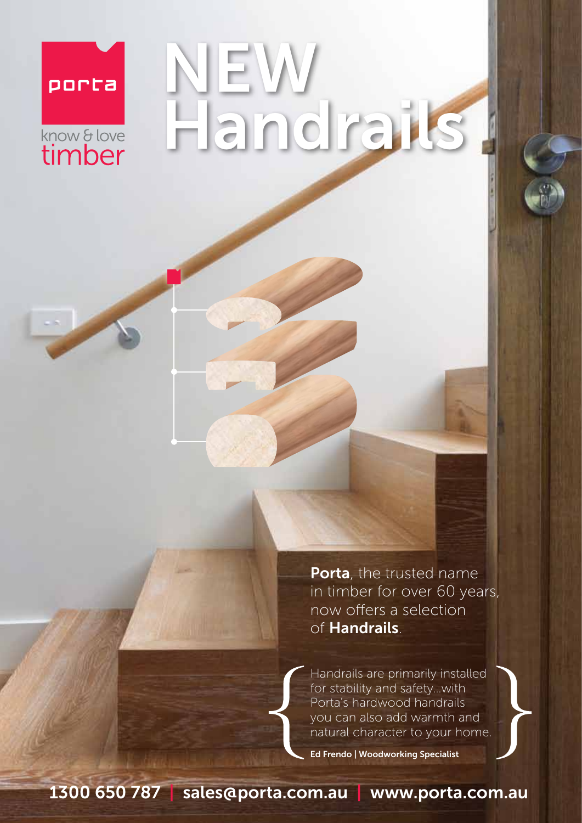## porta know & love

# NEW Handrails

Porta, the trusted name in timber for over 60 years, now offers a selection of Handrails.

Handrails are primarily installed for stability and safety…with Porta's hardwood handrails you can also add warmth and natural character to your home.

Ed Frendo | Woodworking Specialist

1300 650 787 | sales@porta.com.au | www.porta.com.au